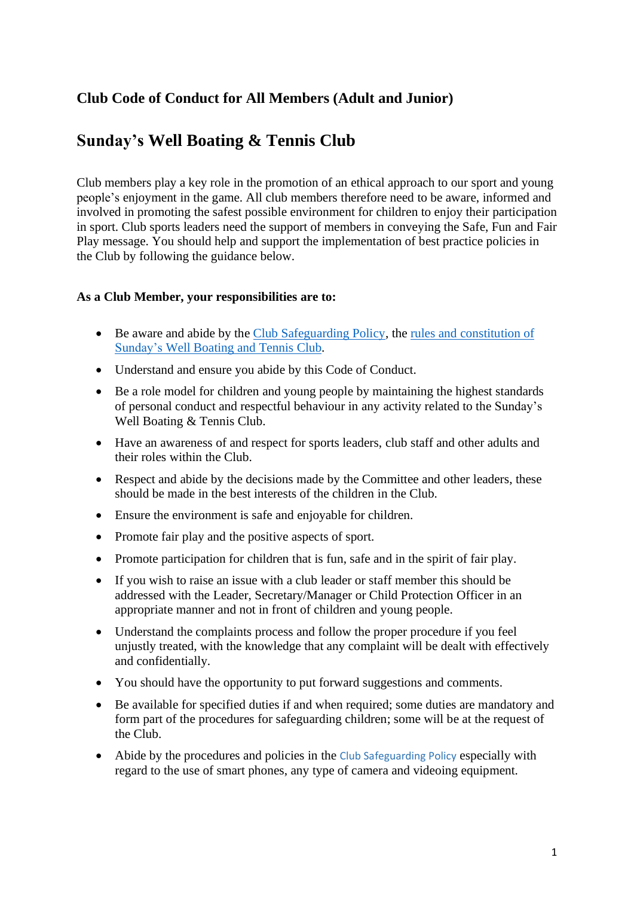# **Club Code of Conduct for All Members (Adult and Junior)**

# **Sunday's Well Boating & Tennis Club**

Club members play a key role in the promotion of an ethical approach to our sport and young people's enjoyment in the game. All club members therefore need to be aware, informed and involved in promoting the safest possible environment for children to enjoy their participation in sport. Club sports leaders need the support of members in conveying the Safe, Fun and Fair Play message. You should help and support the implementation of best practice policies in the Club by following the guidance below.

#### **As a Club Member, your responsibilities are to:**

- Be aware and abide by the Club [Safeguarding](https://sundayswell.ie/download/club-safeguarding-policy/?wpdmdl=10155&masterkey=5f94145d5c089) Policy, the rules and [constitution](https://sundayswell.ie/download/club-rules/?wpdmdl=3233) of [Sunday's](https://sundayswell.ie/download/club-rules/?wpdmdl=3233) Well Boating and Tennis Club.
- Understand and ensure you abide by this Code of Conduct.
- Be a role model for children and young people by maintaining the highest standards of personal conduct and respectful behaviour in any activity related to the Sunday's Well Boating & Tennis Club.
- Have an awareness of and respect for sports leaders, club staff and other adults and their roles within the Club.
- Respect and abide by the decisions made by the Committee and other leaders, these should be made in the best interests of the children in the Club.
- Ensure the environment is safe and enjoyable for children.
- Promote fair play and the positive aspects of sport.
- Promote participation for children that is fun, safe and in the spirit of fair play.
- If you wish to raise an issue with a club leader or staff member this should be addressed with the Leader, Secretary/Manager or Child Protection Officer in an appropriate manner and not in front of children and young people.
- Understand the complaints process and follow the proper procedure if you feel unjustly treated, with the knowledge that any complaint will be dealt with effectively and confidentially.
- You should have the opportunity to put forward suggestions and comments.
- Be available for specified duties if and when required; some duties are mandatory and form part of the procedures for safeguarding children; some will be at the request of the Club.
- Abide by the procedures and policies in the [Club Safeguarding Policy](https://sundayswell.ie/download/club-safeguarding-policy/?wpdmdl=10155&masterkey=5f94145d5c089) especially with regard to the use of smart phones, any type of camera and videoing equipment.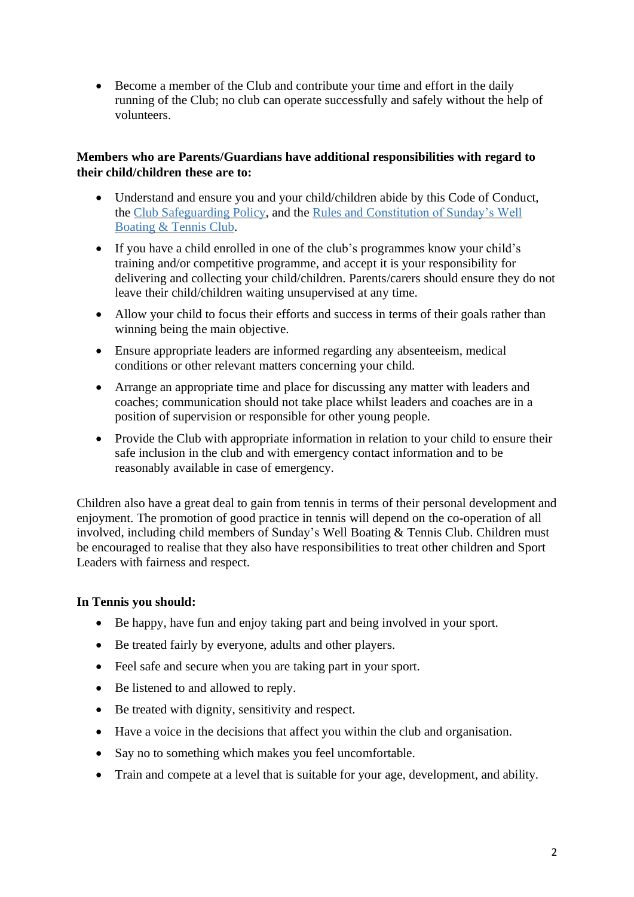• Become a member of the Club and contribute your time and effort in the daily running of the Club; no club can operate successfully and safely without the help of volunteers.

## **Members who are Parents/Guardians have additional responsibilities with regard to their child/children these are to:**

- Understand and ensure you and your child/children abide by this Code of Conduct, the [Club Safeguarding Policy,](https://sundayswell.ie/download/club-safeguarding-policy/?wpdmdl=10155&masterkey=5f94145d5c089) and the [Rules and Constitution of Sunday's Well](https://sundayswell.ie/download/club-rules/?wpdmdl=3233)  [Boating & Tennis Club.](https://sundayswell.ie/download/club-rules/?wpdmdl=3233)
- If you have a child enrolled in one of the club's programmes know your child's training and/or competitive programme, and accept it is your responsibility for delivering and collecting your child/children. Parents/carers should ensure they do not leave their child/children waiting unsupervised at any time.
- Allow your child to focus their efforts and success in terms of their goals rather than winning being the main objective.
- Ensure appropriate leaders are informed regarding any absenteeism, medical conditions or other relevant matters concerning your child.
- Arrange an appropriate time and place for discussing any matter with leaders and coaches; communication should not take place whilst leaders and coaches are in a position of supervision or responsible for other young people.
- Provide the Club with appropriate information in relation to your child to ensure their safe inclusion in the club and with emergency contact information and to be reasonably available in case of emergency.

Children also have a great deal to gain from tennis in terms of their personal development and enjoyment. The promotion of good practice in tennis will depend on the co-operation of all involved, including child members of Sunday's Well Boating & Tennis Club. Children must be encouraged to realise that they also have responsibilities to treat other children and Sport Leaders with fairness and respect.

# **In Tennis you should:**

- Be happy, have fun and enjoy taking part and being involved in your sport.
- Be treated fairly by everyone, adults and other players.
- Feel safe and secure when you are taking part in your sport.
- Be listened to and allowed to reply.
- Be treated with dignity, sensitivity and respect.
- Have a voice in the decisions that affect you within the club and organisation.
- Say no to something which makes you feel uncomfortable.
- Train and compete at a level that is suitable for your age, development, and ability.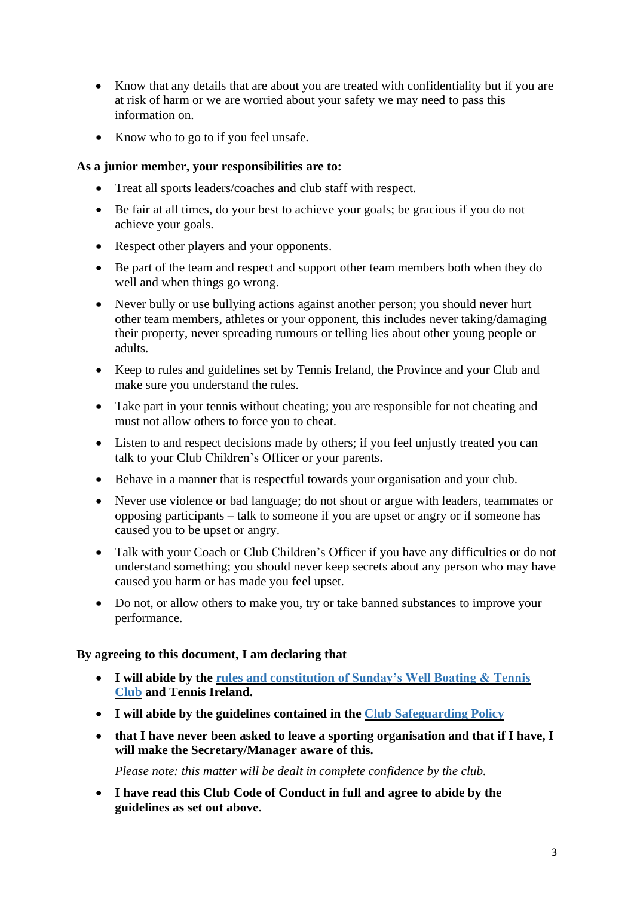- Know that any details that are about you are treated with confidentiality but if you are at risk of harm or we are worried about your safety we may need to pass this information on.
- Know who to go to if you feel unsafe.

### **As a junior member, your responsibilities are to:**

- Treat all sports leaders/coaches and club staff with respect.
- Be fair at all times, do your best to achieve your goals; be gracious if you do not achieve your goals.
- Respect other players and your opponents.
- Be part of the team and respect and support other team members both when they do well and when things go wrong.
- Never bully or use bullying actions against another person; you should never hurt other team members, athletes or your opponent, this includes never taking/damaging their property, never spreading rumours or telling lies about other young people or adults.
- Keep to rules and guidelines set by Tennis Ireland, the Province and your Club and make sure you understand the rules.
- Take part in your tennis without cheating; you are responsible for not cheating and must not allow others to force you to cheat.
- Listen to and respect decisions made by others; if you feel unjustly treated you can talk to your Club Children's Officer or your parents.
- Behave in a manner that is respectful towards your organisation and your club.
- Never use violence or bad language; do not shout or argue with leaders, teammates or opposing participants – talk to someone if you are upset or angry or if someone has caused you to be upset or angry.
- Talk with your Coach or Club Children's Officer if you have any difficulties or do not understand something; you should never keep secrets about any person who may have caused you harm or has made you feel upset.
- Do not, or allow others to make you, try or take banned substances to improve your performance.

### **By agreeing to this document, I am declaring that**

- **I will abide by the rules and constitution [of Sunday's Well Boating & Tennis](https://sundayswell.ie/download/club-rules/?wpdmdl=3233)  [Club](https://sundayswell.ie/download/club-rules/?wpdmdl=3233) and Tennis Ireland.**
- **I will abide by the guidelines contained in the [Club Safeguarding Policy](https://sundayswell.ie/download/club-safeguarding-policy/?wpdmdl=10155&masterkey=5f94145d5c089)**
- **that I have never been asked to leave a sporting organisation and that if I have, I will make the Secretary/Manager aware of this.**

*Please note: this matter will be dealt in complete confidence by the club.*

• **I have read this Club Code of Conduct in full and agree to abide by the guidelines as set out above.**